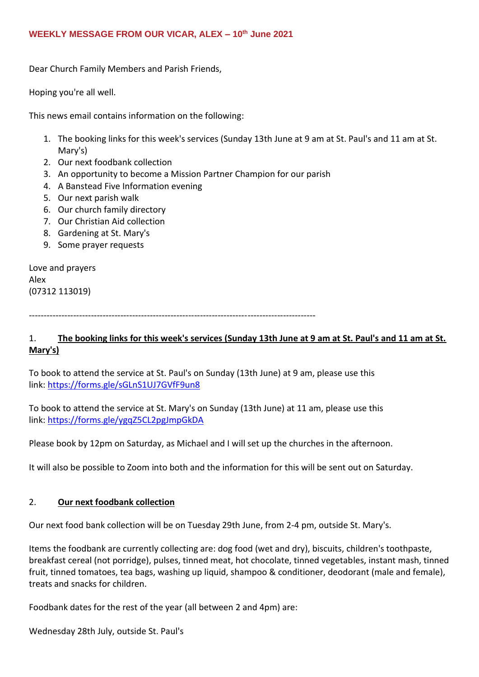#### **WEEKLY MESSAGE FROM OUR VICAR, ALEX – 10th June 2021**

Dear Church Family Members and Parish Friends,

Hoping you're all well.

This news email contains information on the following:

- 1. The booking links for this week's services (Sunday 13th June at 9 am at St. Paul's and 11 am at St. Mary's)
- 2. Our next foodbank collection
- 3. An opportunity to become a Mission Partner Champion for our parish
- 4. A Banstead Five Information evening
- 5. Our next parish walk
- 6. Our church family directory
- 7. Our Christian Aid collection
- 8. Gardening at St. Mary's
- 9. Some prayer requests

Love and prayers Alex (07312 113019)

-------------------------------------------------------------------------------------------------

# 1. **The booking links for this week's services (Sunday 13th June at 9 am at St. Paul's and 11 am at St. Mary's)**

To book to attend the service at St. Paul's on Sunday (13th June) at 9 am, please use this link: <https://forms.gle/sGLnS1UJ7GVfF9un8>

To book to attend the service at St. Mary's on Sunday (13th June) at 11 am, please use this link: <https://forms.gle/ygqZ5CL2pgJmpGkDA>

Please book by 12pm on Saturday, as Michael and I will set up the churches in the afternoon.

It will also be possible to Zoom into both and the information for this will be sent out on Saturday.

#### 2. **Our next foodbank collection**

Our next food bank collection will be on Tuesday 29th June, from 2-4 pm, outside St. Mary's.

Items the foodbank are currently collecting are: dog food (wet and dry), biscuits, children's toothpaste, breakfast cereal (not porridge), pulses, tinned meat, hot chocolate, tinned vegetables, instant mash, tinned fruit, tinned tomatoes, tea bags, washing up liquid, shampoo & conditioner, deodorant (male and female), treats and snacks for children.

Foodbank dates for the rest of the year (all between 2 and 4pm) are:

Wednesday 28th July, outside St. Paul's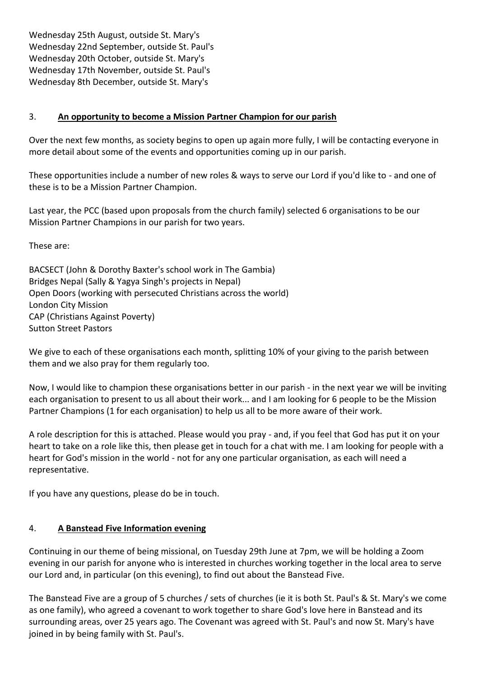Wednesday 25th August, outside St. Mary's Wednesday 22nd September, outside St. Paul's Wednesday 20th October, outside St. Mary's Wednesday 17th November, outside St. Paul's Wednesday 8th December, outside St. Mary's

## 3. **An opportunity to become a Mission Partner Champion for our parish**

Over the next few months, as society begins to open up again more fully, I will be contacting everyone in more detail about some of the events and opportunities coming up in our parish.

These opportunities include a number of new roles & ways to serve our Lord if you'd like to - and one of these is to be a Mission Partner Champion.

Last year, the PCC (based upon proposals from the church family) selected 6 organisations to be our Mission Partner Champions in our parish for two years.

These are:

BACSECT (John & Dorothy Baxter's school work in The Gambia) Bridges Nepal (Sally & Yagya Singh's projects in Nepal) Open Doors (working with persecuted Christians across the world) London City Mission CAP (Christians Against Poverty) Sutton Street Pastors

We give to each of these organisations each month, splitting 10% of your giving to the parish between them and we also pray for them regularly too.

Now, I would like to champion these organisations better in our parish - in the next year we will be inviting each organisation to present to us all about their work... and I am looking for 6 people to be the Mission Partner Champions (1 for each organisation) to help us all to be more aware of their work.

A role description for this is attached. Please would you pray - and, if you feel that God has put it on your heart to take on a role like this, then please get in touch for a chat with me. I am looking for people with a heart for God's mission in the world - not for any one particular organisation, as each will need a representative.

If you have any questions, please do be in touch.

#### 4. **A Banstead Five Information evening**

Continuing in our theme of being missional, on Tuesday 29th June at 7pm, we will be holding a Zoom evening in our parish for anyone who is interested in churches working together in the local area to serve our Lord and, in particular (on this evening), to find out about the Banstead Five.

The Banstead Five are a group of 5 churches / sets of churches (ie it is both St. Paul's & St. Mary's we come as one family), who agreed a covenant to work together to share God's love here in Banstead and its surrounding areas, over 25 years ago. The Covenant was agreed with St. Paul's and now St. Mary's have joined in by being family with St. Paul's.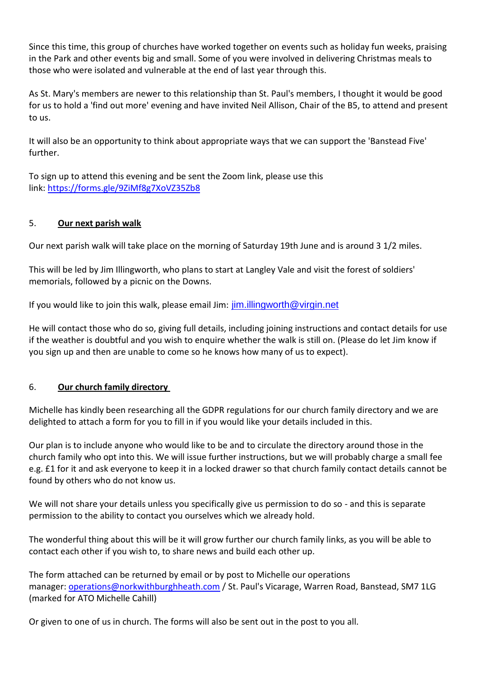Since this time, this group of churches have worked together on events such as holiday fun weeks, praising in the Park and other events big and small. Some of you were involved in delivering Christmas meals to those who were isolated and vulnerable at the end of last year through this.

As St. Mary's members are newer to this relationship than St. Paul's members, I thought it would be good for us to hold a 'find out more' evening and have invited Neil Allison, Chair of the B5, to attend and present to us.

It will also be an opportunity to think about appropriate ways that we can support the 'Banstead Five' further.

To sign up to attend this evening and be sent the Zoom link, please use this link: <https://forms.gle/9ZiMf8g7XoVZ35Zb8>

# 5. **Our next parish walk**

Our next parish walk will take place on the morning of Saturday 19th June and is around 3 1/2 miles.

This will be led by Jim Illingworth, who plans to start at Langley Vale and visit the forest of soldiers' memorials, followed by a picnic on the Downs.

If you would like to join this walk, please email Jim: [jim.illingworth@virgin.net](mailto:jim.illingworth@virgin.net)

He will contact those who do so, giving full details, including joining instructions and contact details for use if the weather is doubtful and you wish to enquire whether the walk is still on. (Please do let Jim know if you sign up and then are unable to come so he knows how many of us to expect).

#### 6. **Our church family directory**

Michelle has kindly been researching all the GDPR regulations for our church family directory and we are delighted to attach a form for you to fill in if you would like your details included in this.

Our plan is to include anyone who would like to be and to circulate the directory around those in the church family who opt into this. We will issue further instructions, but we will probably charge a small fee e.g. £1 for it and ask everyone to keep it in a locked drawer so that church family contact details cannot be found by others who do not know us.

We will not share your details unless you specifically give us permission to do so - and this is separate permission to the ability to contact you ourselves which we already hold.

The wonderful thing about this will be it will grow further our church family links, as you will be able to contact each other if you wish to, to share news and build each other up.

The form attached can be returned by email or by post to Michelle our operations manager: [operations@norkwithburghheath.com](mailto:operations@norkwithburghheath.com) / St. Paul's Vicarage, Warren Road, Banstead, SM7 1LG (marked for ATO Michelle Cahill)

Or given to one of us in church. The forms will also be sent out in the post to you all.